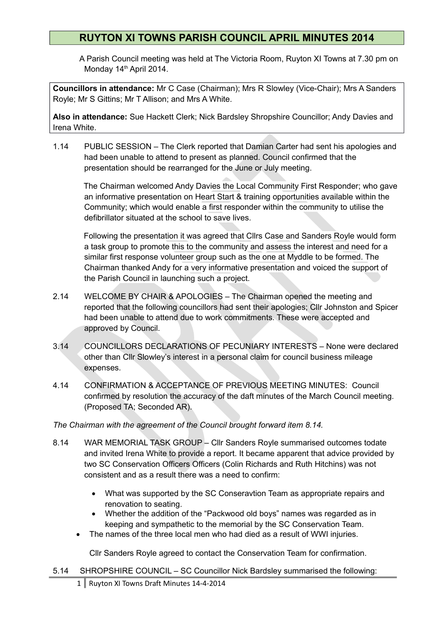## **RUYTON XI TOWNS PARISH COUNCIL APRIL MINUTES 2014**

A Parish Council meeting was held at The Victoria Room, Ruyton XI Towns at 7.30 pm on Monday 14<sup>th</sup> April 2014.

**Councillors in attendance:** Mr C Case (Chairman); Mrs R Slowley (Vice-Chair); Mrs A Sanders Royle; Mr S Gittins; Mr T Allison; and Mrs A White.

**Also in attendance:** Sue Hackett Clerk; Nick Bardsley Shropshire Councillor; Andy Davies and Irena White.

1.14 PUBLIC SESSION – The Clerk reported that Damian Carter had sent his apologies and had been unable to attend to present as planned. Council confirmed that the presentation should be rearranged for the June or July meeting.

 The Chairman welcomed Andy Davies the Local Community First Responder; who gave an informative presentation on Heart Start & training opportunities available within the Community; which would enable a first responder within the community to utilise the defibrillator situated at the school to save lives.

 Following the presentation it was agreed that Cllrs Case and Sanders Royle would form a task group to promote this to the community and assess the interest and need for a similar first response volunteer group such as the one at Myddle to be formed. The Chairman thanked Andy for a very informative presentation and voiced the support of the Parish Council in launching such a project.

- 2.14 WELCOME BY CHAIR & APOLOGIES The Chairman opened the meeting and reported that the following councillors had sent their apologies; Cllr Johnston and Spicer had been unable to attend due to work commitments. These were accepted and approved by Council.
- 3.14 COUNCILLORS DECLARATIONS OF PECUNIARY INTERESTS None were declared other than Cllr Slowley's interest in a personal claim for council business mileage expenses.
- 4.14 CONFIRMATION & ACCEPTANCE OF PREVIOUS MEETING MINUTES: Council confirmed by resolution the accuracy of the daft minutes of the March Council meeting. (Proposed TA; Seconded AR).

*The Chairman with the agreement of the Council brought forward item 8.14.* 

- 8.14 WAR MEMORIAL TASK GROUP Cllr Sanders Royle summarised outcomes todate and invited Irena White to provide a report. It became apparent that advice provided by two SC Conservation Officers Officers (Colin Richards and Ruth Hitchins) was not consistent and as a result there was a need to confirm:
	- What was supported by the SC Conseravtion Team as appropriate repairs and renovation to seating.
	- Whether the addition of the "Packwood old boys" names was regarded as in keeping and sympathetic to the memorial by the SC Conservation Team.
	- The names of the three local men who had died as a result of WWI injuries.

Cllr Sanders Royle agreed to contact the Conservation Team for confirmation.

5.14 SHROPSHIRE COUNCIL – SC Councillor Nick Bardsley summarised the following: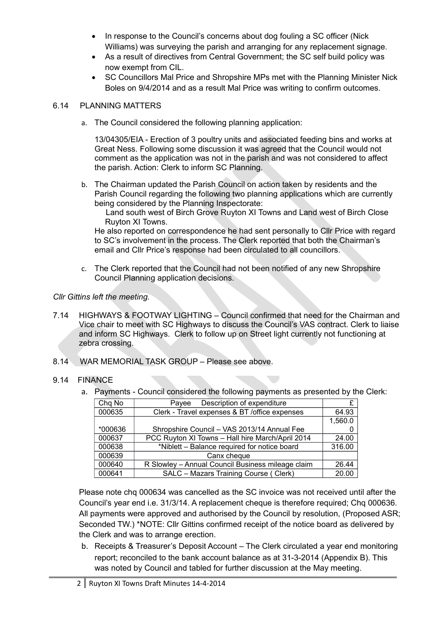- In response to the Council's concerns about dog fouling a SC officer (Nick Williams) was surveying the parish and arranging for any replacement signage.
- As a result of directives from Central Government; the SC self build policy was now exempt from CIL.
- SC Councillors Mal Price and Shropshire MPs met with the Planning Minister Nick Boles on 9/4/2014 and as a result Mal Price was writing to confirm outcomes.

## 6.14 PLANNING MATTERS

a. The Council considered the following planning application:

13/04305/EIA - Erection of 3 poultry units and associated feeding bins and works at Great Ness. Following some discussion it was agreed that the Council would not comment as the application was not in the parish and was not considered to affect the parish. Action: Clerk to inform SC Planning.

- b. The Chairman updated the Parish Council on action taken by residents and the Parish Council regarding the following two planning applications which are currently being considered by the Planning Inspectorate:
	- Land south west of Birch Grove Ruyton XI Towns and Land west of Birch Close Ruyton XI Towns.

He also reported on correspondence he had sent personally to Cllr Price with regard to SC's involvement in the process. The Clerk reported that both the Chairman's email and Cllr Price's response had been circulated to all councillors.

c. The Clerk reported that the Council had not been notified of any new Shropshire Council Planning application decisions.

## *Cllr Gittins left the meeting.*

- 7.14 HIGHWAYS & FOOTWAY LIGHTING Council confirmed that need for the Chairman and Vice chair to meet with SC Highways to discuss the Council's VAS contract. Clerk to liaise and inform SC Highways. Clerk to follow up on Street light currently not functioning at zebra crossing.
- 8.14 WAR MEMORIAL TASK GROUP Please see above.

## 9.14 FINANCE

a. Payments - Council considered the following payments as presented by the Clerk:

| Chq No  | Description of expenditure<br>Pavee               |         |
|---------|---------------------------------------------------|---------|
| 000635  | Clerk - Travel expenses & BT /office expenses     | 64.93   |
|         |                                                   | 1,560.0 |
| *000636 | Shropshire Council - VAS 2013/14 Annual Fee       |         |
| 000637  | PCC Ruyton XI Towns - Hall hire March/April 2014  | 24.00   |
| 000638  | *Niblett - Balance required for notice board      | 316.00  |
| 000639  | Canx cheque                                       |         |
| 000640  | R Slowley - Annual Council Business mileage claim | 26.44   |
| 000641  | SALC - Mazars Training Course ( Clerk)            | 20.00   |

Please note chq 000634 was cancelled as the SC invoice was not received until after the Council's year end i.e. 31/3/14. A replacement cheque is therefore required; Chq 000636. All payments were approved and authorised by the Council by resolution, (Proposed ASR; Seconded TW.) \*NOTE: Cllr Gittins confirmed receipt of the notice board as delivered by the Clerk and was to arrange erection.

b. Receipts & Treasurer's Deposit Account – The Clerk circulated a year end monitoring report; reconciled to the bank account balance as at 31-3-2014 (Appendix B). This was noted by Council and tabled for further discussion at the May meeting.